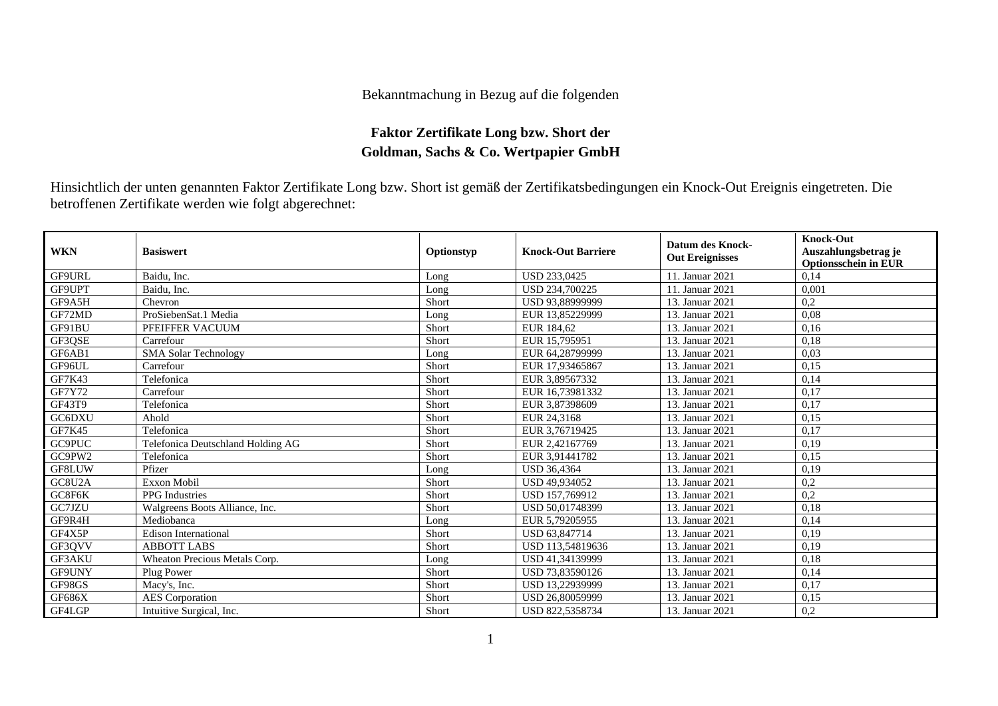## Bekanntmachung in Bezug auf die folgenden

## **Faktor Zertifikate Long bzw. Short der Goldman, Sachs & Co. Wertpapier GmbH**

Hinsichtlich der unten genannten Faktor Zertifikate Long bzw. Short ist gemäß der Zertifikatsbedingungen ein Knock-Out Ereignis eingetreten. Die betroffenen Zertifikate werden wie folgt abgerechnet:

| <b>WKN</b>    | <b>Basiswert</b>                  | Optionstyp | <b>Knock-Out Barriere</b> | <b>Datum des Knock-</b><br><b>Out Ereignisses</b> | <b>Knock-Out</b><br>Auszahlungsbetrag je<br><b>Optionsschein in EUR</b> |
|---------------|-----------------------------------|------------|---------------------------|---------------------------------------------------|-------------------------------------------------------------------------|
| GF9URL        | Baidu, Inc.                       | Long       | <b>USD 233,0425</b>       | 11. Januar 2021                                   | 0,14                                                                    |
| GF9UPT        | Baidu, Inc.                       | Long       | <b>USD 234,700225</b>     | 11. Januar 2021                                   | 0,001                                                                   |
| GF9A5H        | Chevron                           | Short      | USD 93.88999999           | 13. Januar 2021                                   | 0,2                                                                     |
| GF72MD        | ProSiebenSat.1 Media              | Long       | EUR 13.85229999           | 13. Januar 2021                                   | 0,08                                                                    |
| GF91BU        | PFEIFFER VACUUM                   | Short      | EUR 184.62                | 13. Januar 2021                                   | 0.16                                                                    |
| GF3OSE        | Carrefour                         | Short      | EUR 15,795951             | 13. Januar 2021                                   | 0,18                                                                    |
| GF6AB1        | <b>SMA Solar Technology</b>       | Long       | EUR 64,28799999           | 13. Januar 2021                                   | 0,03                                                                    |
| GF96UL        | Carrefour                         | Short      | EUR 17,93465867           | 13. Januar 2021                                   | 0,15                                                                    |
| GF7K43        | Telefonica                        | Short      | EUR 3,89567332            | 13. Januar 2021                                   | 0,14                                                                    |
| GF7Y72        | Carrefour                         | Short      | EUR 16,73981332           | 13. Januar 2021                                   | 0,17                                                                    |
| <b>GF43T9</b> | Telefonica                        | Short      | EUR 3,87398609            | 13. Januar 2021                                   | 0,17                                                                    |
| GC6DXU        | Ahold                             | Short      | EUR 24,3168               | 13. Januar 2021                                   | 0.15                                                                    |
| GF7K45        | Telefonica                        | Short      | EUR 3.76719425            | 13. Januar 2021                                   | 0,17                                                                    |
| GC9PUC        | Telefonica Deutschland Holding AG | Short      | EUR 2.42167769            | 13. Januar 2021                                   | 0,19                                                                    |
| GC9PW2        | Telefonica                        | Short      | EUR 3.91441782            | 13. Januar 2021                                   | 0,15                                                                    |
| GF8LUW        | Pfizer                            | Long       | <b>USD 36,4364</b>        | 13. Januar 2021                                   | 0,19                                                                    |
| GC8U2A        | <b>Exxon Mobil</b>                | Short      | USD 49.934052             | 13. Januar 2021                                   | 0,2                                                                     |
| GC8F6K        | <b>PPG</b> Industries             | Short      | USD 157,769912            | 13. Januar 2021                                   | 0,2                                                                     |
| GC7JZU        | Walgreens Boots Alliance, Inc.    | Short      | USD 50,01748399           | 13. Januar 2021                                   | 0,18                                                                    |
| GF9R4H        | Mediobanca                        | Long       | EUR 5,79205955            | 13. Januar 2021                                   | 0,14                                                                    |
| GF4X5P        | <b>Edison International</b>       | Short      | USD 63,847714             | 13. Januar 2021                                   | 0,19                                                                    |
| GF3QVV        | <b>ABBOTT LABS</b>                | Short      | USD 113,54819636          | 13. Januar 2021                                   | 0,19                                                                    |
| GF3AKU        | Wheaton Precious Metals Corp.     | Long       | USD 41,34139999           | 13. Januar 2021                                   | 0,18                                                                    |
| GF9UNY        | Plug Power                        | Short      | USD 73.83590126           | 13. Januar 2021                                   | 0,14                                                                    |
| GF98GS        | Macy's, Inc.                      | Short      | USD 13,22939999           | 13. Januar 2021                                   | 0,17                                                                    |
| GF686X        | <b>AES</b> Corporation            | Short      | USD 26,80059999           | 13. Januar 2021                                   | 0,15                                                                    |
| GF4LGP        | Intuitive Surgical, Inc.          | Short      | USD 822,5358734           | 13. Januar 2021                                   | 0,2                                                                     |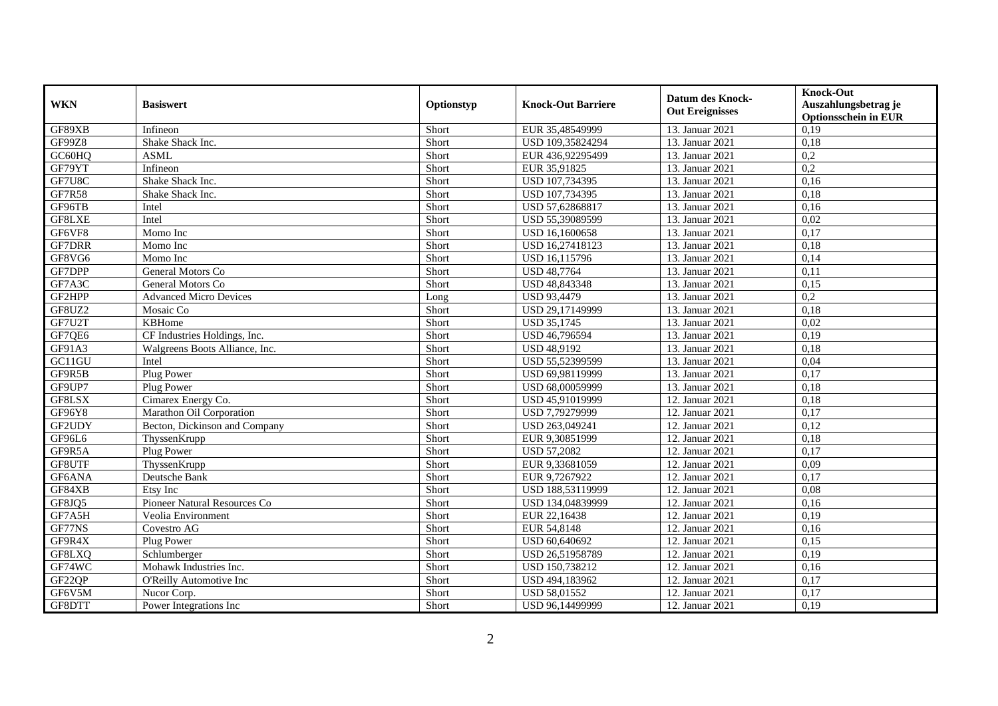| <b>WKN</b>                      | <b>Basiswert</b>               | Optionstyp | <b>Knock-Out Barriere</b> | <b>Datum des Knock-</b><br><b>Out Ereignisses</b> | Knock-Out<br>Auszahlungsbetrag je<br><b>Optionsschein in EUR</b> |
|---------------------------------|--------------------------------|------------|---------------------------|---------------------------------------------------|------------------------------------------------------------------|
| GF89XB                          | Infineon                       | Short      | EUR 35,48549999           | 13. Januar 2021                                   | 0,19                                                             |
| <b>GF99Z8</b>                   | Shake Shack Inc.               | Short      | USD 109,35824294          | 13. Januar 2021                                   | 0,18                                                             |
| GC60HQ                          | <b>ASML</b>                    | Short      | EUR 436,92295499          | 13. Januar 2021                                   | 0,2                                                              |
| GF79YT                          | Infineon                       | Short      | EUR 35,91825              | 13. Januar 2021                                   | 0,2                                                              |
| GF7U8C                          | Shake Shack Inc.               | Short      | USD 107,734395            | 13. Januar 2021                                   | 0,16                                                             |
| <b>GF7R58</b>                   | Shake Shack Inc.               | Short      | USD 107,734395            | 13. Januar 2021                                   | 0,18                                                             |
| GF96TB                          | Intel                          | Short      | USD 57,62868817           | 13. Januar 2021                                   | 0,16                                                             |
| GF8LXE                          | Intel                          | Short      | USD 55,39089599           | 13. Januar 2021                                   | 0,02                                                             |
| GF6VF8                          | Momo Inc                       | Short      | USD 16,1600658            | 13. Januar 2021                                   | 0,17                                                             |
| <b>GF7DRR</b>                   | Momo Inc                       | Short      | USD 16,27418123           | 13. Januar 2021                                   | 0,18                                                             |
| GF8VG6                          | Momo Inc                       | Short      | USD 16,115796             | 13. Januar 2021                                   | 0,14                                                             |
| GF7DPP                          | General Motors Co              | Short      | <b>USD 48,7764</b>        | 13. Januar 2021                                   | 0,11                                                             |
| GF7A3C                          | General Motors Co              | Short      | USD 48,843348             | 13. Januar 2021                                   | 0,15                                                             |
| GF2HPP                          | <b>Advanced Micro Devices</b>  | Long       | <b>USD 93,4479</b>        | 13. Januar 2021                                   | 0,2                                                              |
| GF8UZ2                          | Mosaic Co                      | Short      | USD 29,17149999           | 13. Januar 2021                                   | 0,18                                                             |
| GF7U2T                          | KBHome                         | Short      | <b>USD 35,1745</b>        | 13. Januar 2021                                   | 0,02                                                             |
| GF7QE6                          | CF Industries Holdings, Inc.   | Short      | USD 46,796594             | 13. Januar 2021                                   | 0,19                                                             |
| GF91A3                          | Walgreens Boots Alliance, Inc. | Short      | <b>USD 48,9192</b>        | 13. Januar 2021                                   | 0,18                                                             |
| G <sub>C11</sub> G <sub>U</sub> | Intel                          | Short      | USD 55,52399599           | 13. Januar 2021                                   | 0,04                                                             |
| GF9R5B                          | Plug Power                     | Short      | USD 69,98119999           | 13. Januar 2021                                   | 0,17                                                             |
| GF9UP7                          | Plug Power                     | Short      | USD 68,00059999           | 13. Januar 2021                                   | 0,18                                                             |
| GF8LSX                          | Cimarex Energy Co.             | Short      | USD 45,91019999           | 12. Januar 2021                                   | 0,18                                                             |
| GF96Y8                          | Marathon Oil Corporation       | Short      | USD 7,79279999            | 12. Januar 2021                                   | 0,17                                                             |
| GF2UDY                          | Becton, Dickinson and Company  | Short      | USD 263,049241            | 12. Januar 2021                                   | 0,12                                                             |
| GF96L6                          | ThyssenKrupp                   | Short      | EUR 9,30851999            | 12. Januar 2021                                   | 0,18                                                             |
| GF9R5A                          | Plug Power                     | Short      | <b>USD 57,2082</b>        | 12. Januar 2021                                   | 0,17                                                             |
| GF8UTF                          | ThyssenKrupp                   | Short      | EUR 9,33681059            | 12. Januar 2021                                   | 0,09                                                             |
| GF6ANA                          | Deutsche Bank                  | Short      | EUR 9,7267922             | 12. Januar 2021                                   | 0,17                                                             |
| GF84XB                          | Etsy Inc                       | Short      | USD 188,53119999          | 12. Januar 2021                                   | 0.08                                                             |
| GF8JQ5                          | Pioneer Natural Resources Co   | Short      | USD 134,04839999          | 12. Januar 2021                                   | 0,16                                                             |
| GF7A5H                          | Veolia Environment             | Short      | EUR 22,16438              | 12. Januar 2021                                   | 0,19                                                             |
| GF77NS                          | Covestro AG                    | Short      | EUR 54,8148               | 12. Januar 2021                                   | 0,16                                                             |
| GF9R4X                          | Plug Power                     | Short      | USD 60,640692             | 12. Januar 2021                                   | 0,15                                                             |
| GF8LXQ                          | Schlumberger                   | Short      | USD 26,51958789           | 12. Januar 2021                                   | 0,19                                                             |
| GF74WC                          | Mohawk Industries Inc.         | Short      | USD 150,738212            | 12. Januar 2021                                   | 0,16                                                             |
| GF22QP                          | O'Reilly Automotive Inc        | Short      | USD 494,183962            | 12. Januar 2021                                   | 0,17                                                             |
| GF6V5M                          | Nucor Corp.                    | Short      | USD 58,01552              | 12. Januar 2021                                   | 0,17                                                             |
| GF8DTT                          | Power Integrations Inc         | Short      | USD 96,14499999           | 12. Januar 2021                                   | 0,19                                                             |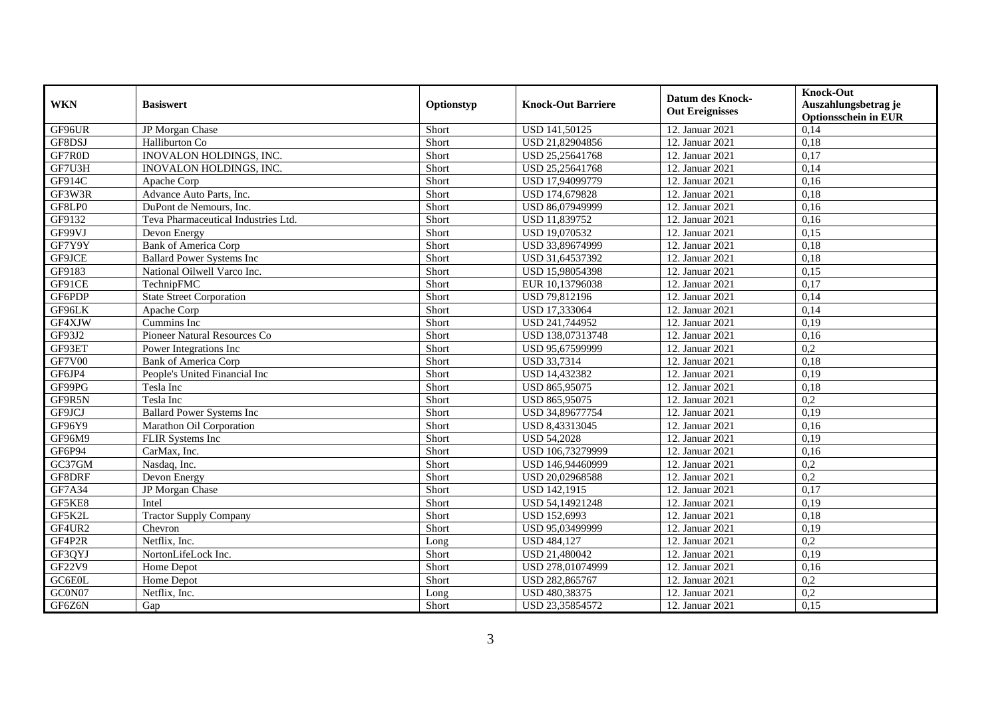| <b>WKN</b>    | <b>Basiswert</b>                    | Optionstyp | <b>Knock-Out Barriere</b> | <b>Datum des Knock-</b><br><b>Out Ereignisses</b> | <b>Knock-Out</b><br>Auszahlungsbetrag je<br><b>Optionsschein in EUR</b> |
|---------------|-------------------------------------|------------|---------------------------|---------------------------------------------------|-------------------------------------------------------------------------|
| GF96UR        | JP Morgan Chase                     | Short      | <b>USD 141,50125</b>      | 12. Januar 2021                                   | 0,14                                                                    |
| GF8DSJ        | Halliburton Co                      | Short      | USD 21,82904856           | 12. Januar 2021                                   | 0,18                                                                    |
| GF7R0D        | INOVALON HOLDINGS, INC.             | Short      | USD 25,25641768           | 12. Januar 2021                                   | 0,17                                                                    |
| GF7U3H        | <b>INOVALON HOLDINGS, INC.</b>      | Short      | USD 25,25641768           | 12. Januar 2021                                   | 0,14                                                                    |
| GF914C        | Apache Corp                         | Short      | USD 17,94099779           | 12. Januar 2021                                   | 0,16                                                                    |
| GF3W3R        | Advance Auto Parts, Inc.            | Short      | USD 174,679828            | 12. Januar 2021                                   | 0,18                                                                    |
| GF8LP0        | DuPont de Nemours, Inc.             | Short      | USD 86,07949999           | 12. Januar 2021                                   | 0,16                                                                    |
| GF9132        | Teva Pharmaceutical Industries Ltd. | Short      | USD 11,839752             | 12. Januar 2021                                   | 0,16                                                                    |
| GF99VJ        | Devon Energy                        | Short      | USD 19,070532             | 12. Januar 2021                                   | 0,15                                                                    |
| GF7Y9Y        | Bank of America Corp                | Short      | USD 33,89674999           | 12. Januar 2021                                   | 0,18                                                                    |
| GF9JCE        | <b>Ballard Power Systems Inc.</b>   | Short      | USD 31,64537392           | 12. Januar 2021                                   | 0,18                                                                    |
| GF9183        | National Oilwell Varco Inc.         | Short      | USD 15,98054398           | 12. Januar 2021                                   | 0,15                                                                    |
| GF91CE        | TechnipFMC                          | Short      | EUR 10,13796038           | 12. Januar 2021                                   | 0.17                                                                    |
| GF6PDP        | <b>State Street Corporation</b>     | Short      | USD 79,812196             | 12. Januar 2021                                   | 0,14                                                                    |
| GF96LK        | Apache Corp                         | Short      | USD 17,333064             | 12. Januar 2021                                   | 0,14                                                                    |
| GF4XJW        | Cummins Inc                         | Short      | USD 241,744952            | 12. Januar 2021                                   | 0,19                                                                    |
| GF93J2        | Pioneer Natural Resources Co        | Short      | USD 138,07313748          | 12. Januar 2021                                   | 0,16                                                                    |
| GF93ET        | Power Integrations Inc.             | Short      | USD 95.67599999           | 12. Januar 2021                                   | 0,2                                                                     |
| <b>GF7V00</b> | <b>Bank of America Corp</b>         | Short      | <b>USD 33,7314</b>        | 12. Januar 2021                                   | 0,18                                                                    |
| GF6JP4        | People's United Financial Inc       | Short      | <b>USD 14,432382</b>      | 12. Januar 2021                                   | 0,19                                                                    |
| GF99PG        | Tesla Inc                           | Short      | USD 865,95075             | 12. Januar 2021                                   | 0,18                                                                    |
| GF9R5N        | Tesla Inc                           | Short      | USD 865,95075             | 12. Januar 2021                                   | 0,2                                                                     |
| GF9JCJ        | <b>Ballard Power Systems Inc</b>    | Short      | USD 34,89677754           | 12. Januar 2021                                   | 0,19                                                                    |
| GF96Y9        | Marathon Oil Corporation            | Short      | USD 8,43313045            | 12. Januar 2021                                   | 0,16                                                                    |
| GF96M9        | <b>FLIR Systems Inc</b>             | Short      | <b>USD 54.2028</b>        | 12. Januar 2021                                   | 0,19                                                                    |
| GF6P94        | CarMax, Inc.                        | Short      | USD 106,73279999          | 12. Januar 2021                                   | 0,16                                                                    |
| GC37GM        | Nasdaq, Inc.                        | Short      | USD 146,94460999          | 12. Januar 2021                                   | 0,2                                                                     |
| GF8DRF        | Devon Energy                        | Short      | USD 20,02968588           | 12. Januar 2021                                   | $\overline{0.2}$                                                        |
| GF7A34        | JP Morgan Chase                     | Short      | <b>USD 142,1915</b>       | 12. Januar 2021                                   | 0.17                                                                    |
| GF5KE8        | Intel                               | Short      | USD 54,14921248           | 12. Januar 2021                                   | 0,19                                                                    |
| GF5K2L        | <b>Tractor Supply Company</b>       | Short      | USD 152,6993              | 12. Januar 2021                                   | 0,18                                                                    |
| GF4UR2        | Chevron                             | Short      | USD 95.03499999           | 12. Januar 2021                                   | 0,19                                                                    |
| GF4P2R        | Netflix, Inc.                       | Long       | <b>USD 484,127</b>        | 12. Januar 2021                                   | 0,2                                                                     |
| GF3QYJ        | NortonLifeLock Inc.                 | Short      | USD 21,480042             | 12. Januar 2021                                   | 0,19                                                                    |
| GF22V9        | Home Depot                          | Short      | USD 278,01074999          | 12. Januar 2021                                   | 0,16                                                                    |
| GC6E0L        | Home Depot                          | Short      | USD 282,865767            | 12. Januar 2021                                   | 0,2                                                                     |
| GC0N07        | Netflix, Inc.                       | Long       | USD 480,38375             | 12. Januar 2021                                   | 0,2                                                                     |
| GF6Z6N        | Gap                                 | Short      | USD 23,35854572           | 12. Januar 2021                                   | 0,15                                                                    |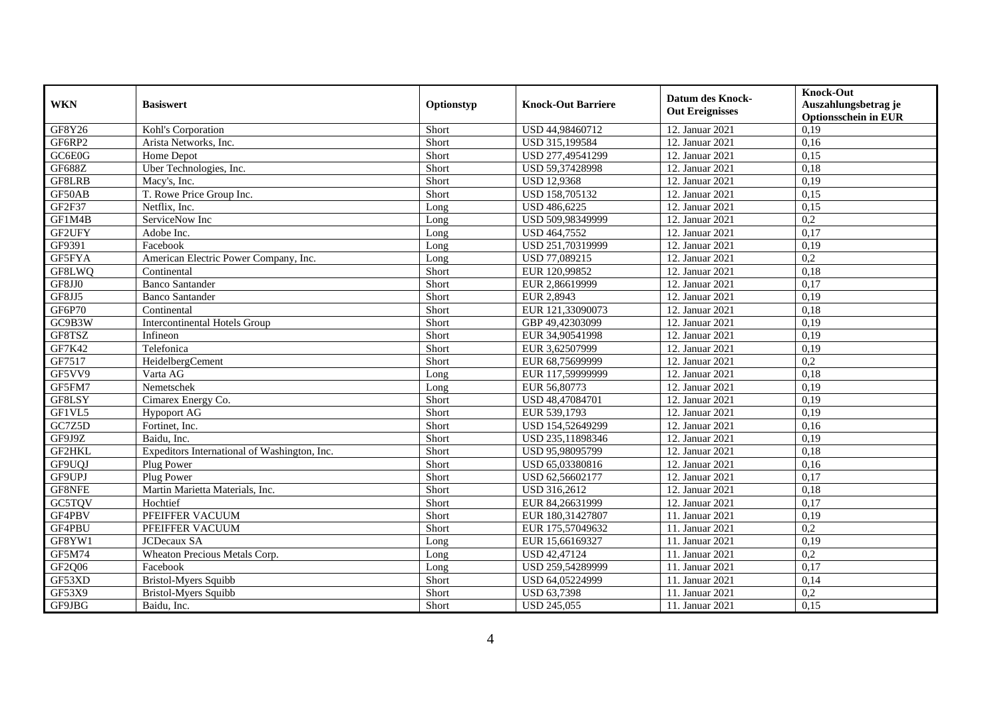| <b>WKN</b>         | <b>Basiswert</b>                             | Optionstyp | <b>Knock-Out Barriere</b> | <b>Datum des Knock-</b><br><b>Out Ereignisses</b> | Knock-Out<br>Auszahlungsbetrag je<br><b>Optionsschein in EUR</b> |
|--------------------|----------------------------------------------|------------|---------------------------|---------------------------------------------------|------------------------------------------------------------------|
| GF8Y26             | Kohl's Corporation                           | Short      | USD 44,98460712           | 12. Januar 2021                                   | 0,19                                                             |
| GF6RP2             | Arista Networks, Inc.                        | Short      | USD 315,199584            | 12. Januar 2021                                   | 0,16                                                             |
| GC6E0G             | Home Depot                                   | Short      | USD 277,49541299          | 12. Januar 2021                                   | 0,15                                                             |
| GF688Z             | Uber Technologies, Inc.                      | Short      | USD 59,37428998           | 12. Januar 2021                                   | 0,18                                                             |
| GF8LRB             | Macy's, Inc.                                 | Short      | <b>USD 12,9368</b>        | 12. Januar 2021                                   | 0,19                                                             |
| GF50AB             | T. Rowe Price Group Inc.                     | Short      | USD 158,705132            | 12. Januar 2021                                   | 0,15                                                             |
| GF <sub>2F37</sub> | Netflix, Inc.                                | Long       | USD 486,6225              | 12. Januar 2021                                   | 0,15                                                             |
| GF1M4B             | ServiceNow Inc                               | Long       | USD 509,98349999          | 12. Januar 2021                                   | 0,2                                                              |
| GF2UFY             | Adobe Inc.                                   | Long       | USD 464,7552              | 12. Januar 2021                                   | 0,17                                                             |
| GF9391             | Facebook                                     | Long       | USD 251,70319999          | 12. Januar 2021                                   | 0,19                                                             |
| GF5FYA             | American Electric Power Company, Inc.        | Long       | USD 77,089215             | 12. Januar 2021                                   | 0,2                                                              |
| GF8LWQ             | Continental                                  | Short      | EUR 120,99852             | 12. Januar 2021                                   | 0,18                                                             |
| GF8JJ0             | <b>Banco Santander</b>                       | Short      | EUR 2,86619999            | 12. Januar 2021                                   | 0,17                                                             |
| GF8JJ5             | <b>Banco Santander</b>                       | Short      | EUR 2,8943                | 12. Januar 2021                                   | 0,19                                                             |
| GF6P70             | Continental                                  | Short      | EUR 121,33090073          | 12. Januar 2021                                   | 0,18                                                             |
| GC9B3W             | <b>Intercontinental Hotels Group</b>         | Short      | GBP 49,42303099           | 12. Januar 2021                                   | 0,19                                                             |
| GF8TSZ             | Infineon                                     | Short      | EUR 34,90541998           | 12. Januar 2021                                   | 0,19                                                             |
| GF7K42             | Telefonica                                   | Short      | EUR 3,62507999            | 12. Januar 2021                                   | 0,19                                                             |
| GF7517             | HeidelbergCement                             | Short      | EUR 68,75699999           | 12. Januar 2021                                   | 0,2                                                              |
| GF5VV9             | Varta AG                                     | Long       | EUR 117,59999999          | 12. Januar 2021                                   | 0,18                                                             |
| GF5FM7             | Nemetschek                                   | Long       | EUR 56,80773              | 12. Januar 2021                                   | 0,19                                                             |
| GF8LSY             | Cimarex Energy Co.                           | Short      | USD 48,47084701           | 12. Januar 2021                                   | 0,19                                                             |
| GF1VL5             | <b>Hypoport AG</b>                           | Short      | EUR 539,1793              | 12. Januar 2021                                   | 0,19                                                             |
| GC7Z5D             | Fortinet, Inc.                               | Short      | USD 154,52649299          | 12. Januar 2021                                   | 0,16                                                             |
| GF9J9Z             | Baidu, Inc.                                  | Short      | USD 235,11898346          | 12. Januar 2021                                   | 0,19                                                             |
| GF2HKL             | Expeditors International of Washington, Inc. | Short      | USD 95,98095799           | 12. Januar 2021                                   | 0,18                                                             |
| GF9UQJ             | Plug Power                                   | Short      | USD 65,03380816           | 12. Januar 2021                                   | 0,16                                                             |
| GF9UPJ             | Plug Power                                   | Short      | USD 62,56602177           | 12. Januar 2021                                   | 0,17                                                             |
| GF8NFE             | Martin Marietta Materials, Inc.              | Short      | USD 316,2612              | 12. Januar 2021                                   | 0,18                                                             |
| <b>GC5TQV</b>      | Hochtief                                     | Short      | EUR 84.26631999           | 12. Januar 2021                                   | 0.17                                                             |
| GF4PBV             | PFEIFFER VACUUM                              | Short      | EUR 180,31427807          | 11. Januar 2021                                   | 0,19                                                             |
| GF4PBU             | PFEIFFER VACUUM                              | Short      | EUR 175,57049632          | 11. Januar 2021                                   | 0,2                                                              |
| GF8YW1             | <b>JCDecaux SA</b>                           | Long       | EUR 15,66169327           | 11. Januar 2021                                   | 0,19                                                             |
| GF5M74             | Wheaton Precious Metals Corp.                | Long       | <b>USD 42,47124</b>       | 11. Januar 2021                                   | 0,2                                                              |
| GF2Q06             | Facebook                                     | Long       | USD 259,54289999          | 11. Januar 2021                                   | 0,17                                                             |
| GF53XD             | <b>Bristol-Myers Squibb</b>                  | Short      | USD 64,05224999           | 11. Januar 2021                                   | 0,14                                                             |
| GF53X9             | <b>Bristol-Myers Squibb</b>                  | Short      | USD 63,7398               | 11. Januar 2021                                   | 0,2                                                              |
| GF9JBG             | Baidu, Inc.                                  | Short      | <b>USD 245,055</b>        | 11. Januar 2021                                   | 0,15                                                             |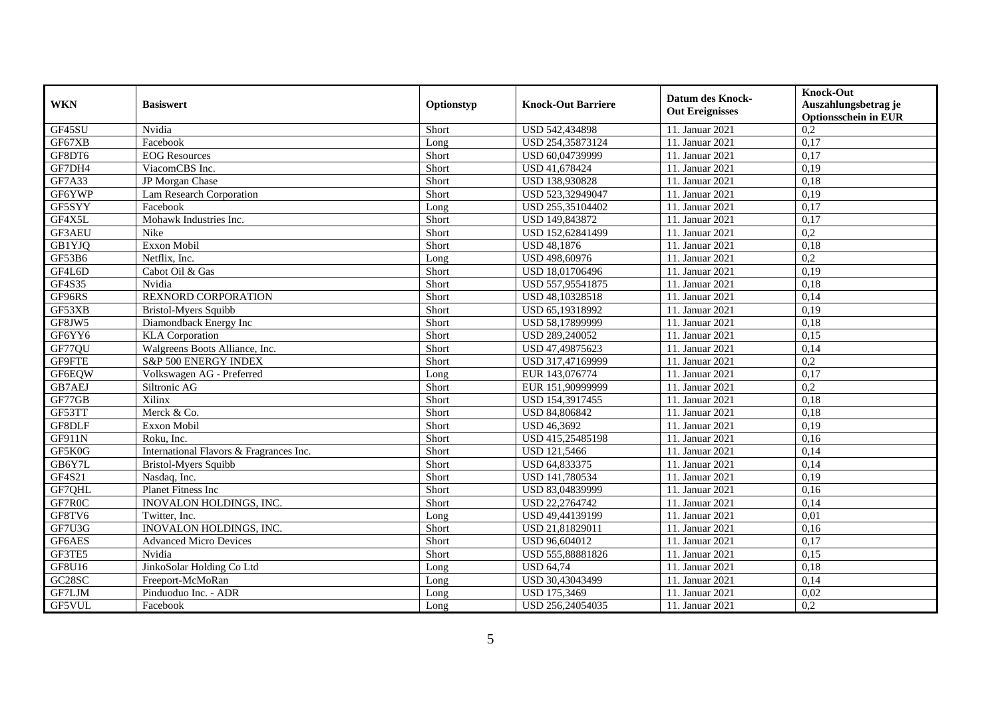| <b>WKN</b>          | <b>Basiswert</b>                        | Optionstyp | <b>Knock-Out Barriere</b> | <b>Datum des Knock-</b><br><b>Out Ereignisses</b> | Knock-Out<br>Auszahlungsbetrag je<br><b>Optionsschein in EUR</b> |
|---------------------|-----------------------------------------|------------|---------------------------|---------------------------------------------------|------------------------------------------------------------------|
| GF45SU              | Nvidia                                  | Short      | USD 542,434898            | 11. Januar 2021                                   | 0,2                                                              |
| GF67XB              | Facebook                                | Long       | USD 254,35873124          | 11. Januar 2021                                   | 0,17                                                             |
| GF8DT6              | <b>EOG</b> Resources                    | Short      | USD 60,04739999           | 11. Januar 2021                                   | 0,17                                                             |
| GF7DH4              | ViacomCBS Inc.                          | Short      | USD 41,678424             | 11. Januar 2021                                   | 0,19                                                             |
| GF7A33              | JP Morgan Chase                         | Short      | USD 138,930828            | 11. Januar 2021                                   | 0,18                                                             |
| GF6YWP              | Lam Research Corporation                | Short      | USD 523,32949047          | 11. Januar 2021                                   | 0,19                                                             |
| GF5SYY              | Facebook                                | Long       | USD 255,35104402          | 11. Januar 2021                                   | 0,17                                                             |
| GF4X5L              | Mohawk Industries Inc.                  | Short      | USD 149,843872            | 11. Januar 2021                                   | 0,17                                                             |
| GF3AEU              | Nike                                    | Short      | USD 152,62841499          | 11. Januar 2021                                   | 0,2                                                              |
| GB1YJQ              | Exxon Mobil                             | Short      | <b>USD 48,1876</b>        | 11. Januar 2021                                   | 0,18                                                             |
| GF53B6              | Netflix, Inc.                           | Long       | USD 498,60976             | 11. Januar 2021                                   | 0,2                                                              |
| GF4L6D              | Cabot Oil & Gas                         | Short      | USD 18,01706496           | 11. Januar 2021                                   | 0,19                                                             |
| GF4S35              | Nvidia                                  | Short      | USD 557,95541875          | 11. Januar 2021                                   | 0,18                                                             |
| GF96RS              | REXNORD CORPORATION                     | Short      | USD 48,10328518           | 11. Januar 2021                                   | 0,14                                                             |
| GF53XB              | <b>Bristol-Myers Squibb</b>             | Short      | USD 65,19318992           | 11. Januar 2021                                   | 0,19                                                             |
| GF8JW5              | Diamondback Energy Inc                  | Short      | USD 58,17899999           | 11. Januar 2021                                   | 0,18                                                             |
| GF6YY6              | <b>KLA</b> Corporation                  | Short      | USD 289,240052            | 11. Januar 2021                                   | 0.15                                                             |
| GF77QU              | Walgreens Boots Alliance, Inc.          | Short      | USD 47,49875623           | 11. Januar 2021                                   | 0,14                                                             |
| GF9FTE              | S&P 500 ENERGY INDEX                    | Short      | USD 317,47169999          | 11. Januar 2021                                   | 0,2                                                              |
| GF6EQW              | Volkswagen AG - Preferred               | Long       | EUR 143,076774            | 11. Januar 2021                                   | 0,17                                                             |
| GB7AEJ              | Siltronic AG                            | Short      | EUR 151,90999999          | 11. Januar 2021                                   | 0,2                                                              |
| GF77GB              | Xilinx                                  | Short      | USD 154,3917455           | 11. Januar 2021                                   | 0,18                                                             |
| GF53TT              | Merck & Co.                             | Short      | <b>USD 84,806842</b>      | 11. Januar 2021                                   | 0,18                                                             |
| GF8DLF              | Exxon Mobil                             | Short      | <b>USD 46,3692</b>        | 11. Januar 2021                                   | 0,19                                                             |
| GF911N              | Roku, Inc.                              | Short      | USD 415,25485198          | 11. Januar 2021                                   | 0,16                                                             |
| GF5K0G              | International Flavors & Fragrances Inc. | Short      | USD 121,5466              | 11. Januar 2021                                   | 0,14                                                             |
| GB6Y7L              | <b>Bristol-Myers Squibb</b>             | Short      | USD 64,833375             | 11. Januar 2021                                   | 0,14                                                             |
| GF4S21              | Nasdaq, Inc.                            | Short      | USD 141,780534            | 11. Januar 2021                                   | 0,19                                                             |
| GF7QHL              | Planet Fitness Inc                      | Short      | USD 83,04839999           | 11. Januar 2021                                   | 0,16                                                             |
| GF7R0C              | INOVALON HOLDINGS, INC.                 | Short      | USD 22.2764742            | 11. Januar 2021                                   | 0.14                                                             |
| GF8TV6              | Twitter, Inc.                           | Long       | USD 49,44139199           | 11. Januar 2021                                   | 0,01                                                             |
| GF7U3G              | INOVALON HOLDINGS, INC.                 | Short      | USD 21,81829011           | 11. Januar 2021                                   | 0,16                                                             |
| GF6AES              | <b>Advanced Micro Devices</b>           | Short      | USD 96,604012             | 11. Januar 2021                                   | 0,17                                                             |
| GF3TE5              | Nvidia                                  | Short      | USD 555,88881826          | 11. Januar 2021                                   | 0,15                                                             |
| GF8U16              | JinkoSolar Holding Co Ltd               | Long       | <b>USD 64,74</b>          | 11. Januar 2021                                   | 0,18                                                             |
| GC <sub>28</sub> SC | Freeport-McMoRan                        | Long       | USD 30,43043499           | 11. Januar 2021                                   | 0,14                                                             |
| GF7LJM              | Pinduoduo Inc. - ADR                    | Long       | USD 175,3469              | 11. Januar 2021                                   | 0,02                                                             |
| GF5VUL              | Facebook                                | Long       | USD 256,24054035          | 11. Januar 2021                                   | 0,2                                                              |